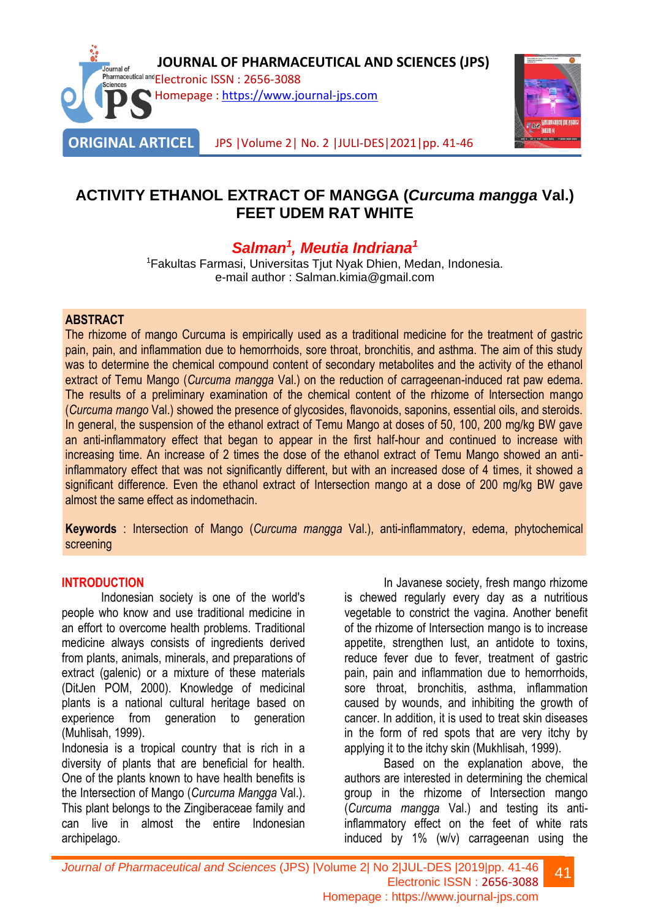



# **ACTIVITY ETHANOL EXTRACT OF MANGGA (***Curcuma mangga* **Val.) FEET UDEM RAT WHITE**

# *Salman<sup>1</sup> , Meutia Indriana<sup>1</sup>*

<sup>1</sup>Fakultas Farmasi, Universitas Tjut Nyak Dhien, Medan, Indonesia. e-mail author : Salman.kimia@gmail.com

### **ABSTRACT**

The rhizome of mango Curcuma is empirically used as a traditional medicine for the treatment of gastric pain, pain, and inflammation due to hemorrhoids, sore throat, bronchitis, and asthma. The aim of this study was to determine the chemical compound content of secondary metabolites and the activity of the ethanol extract of Temu Mango (*Curcuma mangga* Val.) on the reduction of carrageenan-induced rat paw edema. The results of a preliminary examination of the chemical content of the rhizome of Intersection mango (*Curcuma mango* Val.) showed the presence of glycosides, flavonoids, saponins, essential oils, and steroids. In general, the suspension of the ethanol extract of Temu Mango at doses of 50, 100, 200 mg/kg BW gave an anti-inflammatory effect that began to appear in the first half-hour and continued to increase with increasing time. An increase of 2 times the dose of the ethanol extract of Temu Mango showed an antiinflammatory effect that was not significantly different, but with an increased dose of 4 times, it showed a significant difference. Even the ethanol extract of Intersection mango at a dose of 200 mg/kg BW gave almost the same effect as indomethacin.

**Keywords** : Intersection of Mango (*Curcuma mangga* Val.), anti-inflammatory, edema, phytochemical screening

### **INTRODUCTION**

Indonesian society is one of the world's people who know and use traditional medicine in an effort to overcome health problems. Traditional medicine always consists of ingredients derived from plants, animals, minerals, and preparations of extract (galenic) or a mixture of these materials (DitJen POM, 2000). Knowledge of medicinal plants is a national cultural heritage based on experience from generation to generation (Muhlisah, 1999).

Indonesia is a tropical country that is rich in a diversity of plants that are beneficial for health. One of the plants known to have health benefits is the Intersection of Mango (*Curcuma Mangga* Val.). This plant belongs to the Zingiberaceae family and can live in almost the entire Indonesian archipelago.

In Javanese society, fresh mango rhizome is chewed regularly every day as a nutritious vegetable to constrict the vagina. Another benefit of the rhizome of Intersection mango is to increase appetite, strengthen lust, an antidote to toxins, reduce fever due to fever, treatment of gastric pain, pain and inflammation due to hemorrhoids, sore throat, bronchitis, asthma, inflammation caused by wounds, and inhibiting the growth of cancer. In addition, it is used to treat skin diseases in the form of red spots that are very itchy by applying it to the itchy skin (Mukhlisah, 1999).

Based on the explanation above, the authors are interested in determining the chemical group in the rhizome of Intersection mango (*Curcuma mangga* Val.) and testing its antiinflammatory effect on the feet of white rats induced by 1% (w/v) carrageenan using the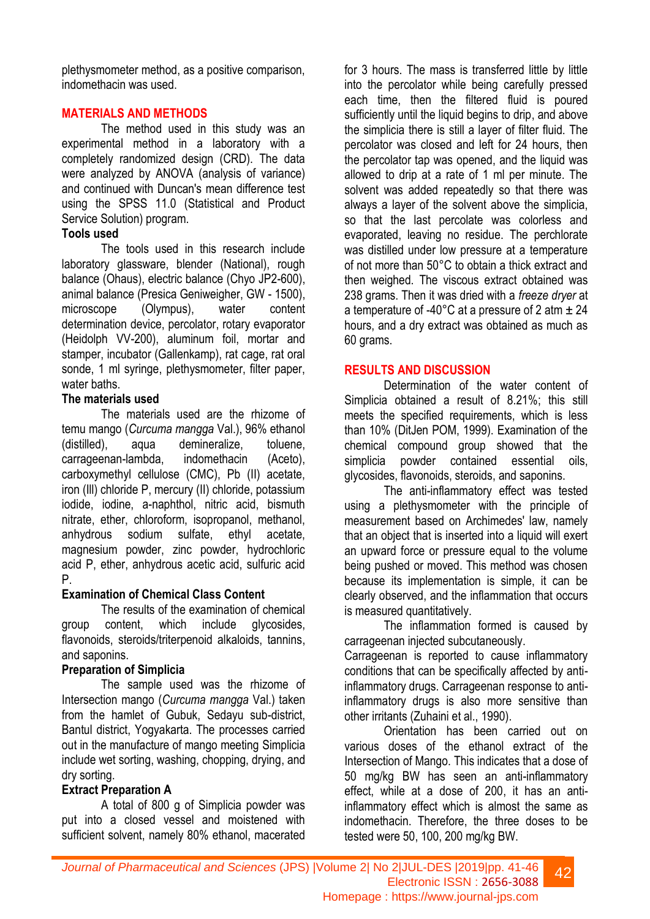plethysmometer method, as a positive comparison, indomethacin was used.

## **MATERIALS AND METHODS**

The method used in this study was an experimental method in a laboratory with a completely randomized design (CRD). The data were analyzed by ANOVA (analysis of variance) and continued with Duncan's mean difference test using the SPSS 11.0 (Statistical and Product Service Solution) program.

#### **Tools used**

The tools used in this research include laboratory glassware, blender (National), rough balance (Ohaus), electric balance (Chyo JP2-600), animal balance (Presica Geniweigher, GW - 1500), microscope (Olympus), water content determination device, percolator, rotary evaporator (Heidolph VV-200), aluminum foil, mortar and stamper, incubator (Gallenkamp), rat cage, rat oral sonde, 1 ml syringe, plethysmometer, filter paper, water baths.

### **The materials used**

The materials used are the rhizome of temu mango (*Curcuma mangga* Val.), 96% ethanol (distilled), aqua demineralize, toluene, carrageenan-lambda, indomethacin (Aceto), carboxymethyl cellulose (CMC), Pb (II) acetate, iron (Ill) chloride P, mercury (II) chloride, potassium iodide, iodine, a-naphthol, nitric acid, bismuth nitrate, ether, chloroform, isopropanol, methanol, anhydrous sodium sulfate, ethyl acetate, magnesium powder, zinc powder, hydrochloric acid P, ether, anhydrous acetic acid, sulfuric acid P.

### **Examination of Chemical Class Content**

The results of the examination of chemical group content, which include glycosides, flavonoids, steroids/triterpenoid alkaloids, tannins, and saponins.

### **Preparation of Simplicia**

The sample used was the rhizome of Intersection mango (*Curcuma mangga* Val.) taken from the hamlet of Gubuk, Sedayu sub-district, Bantul district, Yogyakarta. The processes carried out in the manufacture of mango meeting Simplicia include wet sorting, washing, chopping, drying, and dry sorting.

### **Extract Preparation A**

A total of 800 g of Simplicia powder was put into a closed vessel and moistened with sufficient solvent, namely 80% ethanol, macerated

for 3 hours. The mass is transferred little by little into the percolator while being carefully pressed each time, then the filtered fluid is poured sufficiently until the liquid begins to drip, and above the simplicia there is still a layer of filter fluid. The percolator was closed and left for 24 hours, then the percolator tap was opened, and the liquid was allowed to drip at a rate of 1 ml per minute. The solvent was added repeatedly so that there was always a layer of the solvent above the simplicia, so that the last percolate was colorless and evaporated, leaving no residue. The perchlorate was distilled under low pressure at a temperature of not more than 50°C to obtain a thick extract and then weighed. The viscous extract obtained was 238 grams. Then it was dried with a *freeze dryer* at a temperature of -40 $^{\circ}$ C at a pressure of 2 atm  $\pm$  24 hours, and a dry extract was obtained as much as 60 grams.

### **RESULTS AND DISCUSSION**

Determination of the water content of Simplicia obtained a result of 8.21%; this still meets the specified requirements, which is less than 10% (DitJen POM, 1999). Examination of the chemical compound group showed that the simplicia powder contained essential oils, glycosides, flavonoids, steroids, and saponins.

The anti-inflammatory effect was tested using a plethysmometer with the principle of measurement based on Archimedes' law, namely that an object that is inserted into a liquid will exert an upward force or pressure equal to the volume being pushed or moved. This method was chosen because its implementation is simple, it can be clearly observed, and the inflammation that occurs is measured quantitatively.

The inflammation formed is caused by carrageenan injected subcutaneously.

Carrageenan is reported to cause inflammatory conditions that can be specifically affected by antiinflammatory drugs. Carrageenan response to antiinflammatory drugs is also more sensitive than other irritants (Zuhaini et al., 1990).

Orientation has been carried out on various doses of the ethanol extract of the Intersection of Mango. This indicates that a dose of 50 mg/kg BW has seen an anti-inflammatory effect, while at a dose of 200, it has an antiinflammatory effect which is almost the same as indomethacin. Therefore, the three doses to be tested were 50, 100, 200 mg/kg BW.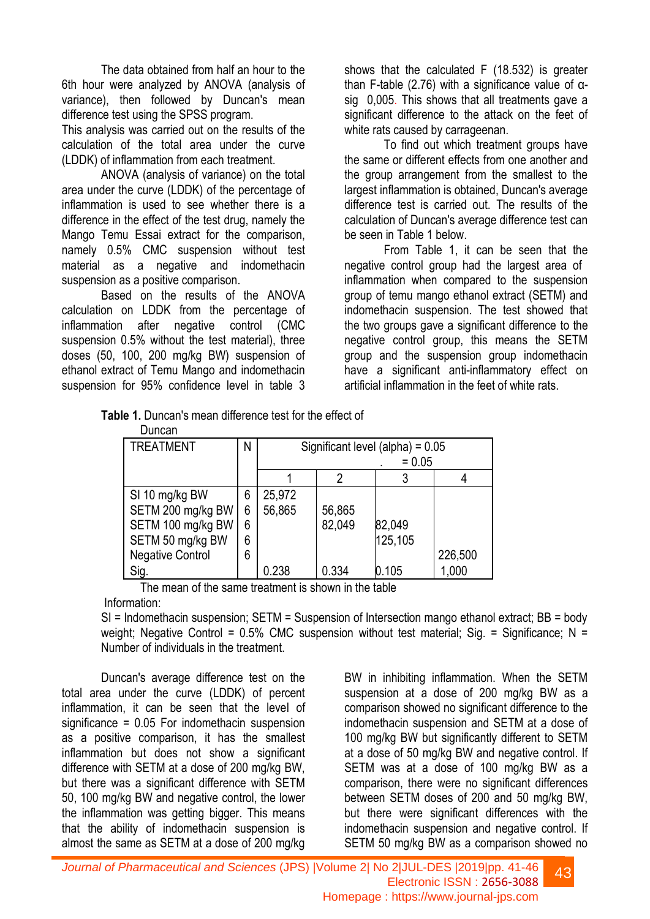The data obtained from half an hour to the 6th hour were analyzed by ANOVA (analysis of variance), then followed by Duncan's mean difference test using the SPSS program.

This analysis was carried out on the results of the calculation of the total area under the curve (LDDK) of inflammation from each treatment.

ANOVA (analysis of variance) on the total area under the curve (LDDK) of the percentage of inflammation is used to see whether there is a difference in the effect of the test drug, namely the Mango Temu Essai extract for the comparison, namely 0.5% CMC suspension without test material as a negative and indomethacin suspension as a positive comparison.

Based on the results of the ANOVA calculation on LDDK from the percentage of inflammation after negative control (CMC suspension 0.5% without the test material), three doses (50, 100, 200 mg/kg BW) suspension of ethanol extract of Temu Mango and indomethacin suspension for 95% confidence level in table 3 shows that the calculated F (18.532) is greater than F-table (2.76) with a significance value of αsig 0,005. This shows that all treatments gave a significant difference to the attack on the feet of white rats caused by carrageenan.

To find out which treatment groups have the same or different effects from one another and the group arrangement from the smallest to the largest inflammation is obtained, Duncan's average difference test is carried out. The results of the calculation of Duncan's average difference test can be seen in Table 1 below.

From Table 1, it can be seen that the negative control group had the largest area of inflammation when compared to the suspension group of temu mango ethanol extract (SETM) and indomethacin suspension. The test showed that the two groups gave a significant difference to the negative control group, this means the SETM group and the suspension group indomethacin have a significant anti-inflammatory effect on artificial inflammation in the feet of white rats.

| Table 1. Duncan's mean difference test for the effect of |  |  |
|----------------------------------------------------------|--|--|
| <b>D</b> .                                               |  |  |

| Duncan                  |   |                                    |        |         |         |  |
|-------------------------|---|------------------------------------|--------|---------|---------|--|
| <b>TREATMENT</b>        | Ν | Significant level (alpha) = $0.05$ |        |         |         |  |
|                         |   | $= 0.05$                           |        |         |         |  |
|                         |   |                                    |        |         |         |  |
| SI 10 mg/kg BW          | 6 | 25,972                             |        |         |         |  |
| SETM 200 mg/kg BW       | 6 | 56,865                             | 56,865 |         |         |  |
| SETM 100 mg/kg BW       | 6 |                                    | 82,049 | 82,049  |         |  |
| SETM 50 mg/kg BW        | 6 |                                    |        | 125,105 |         |  |
| <b>Negative Control</b> | 6 |                                    |        |         | 226,500 |  |
| Sig.                    |   | 0.238                              | 0.334  | 0.105   | 1,000   |  |

The mean of the same treatment is shown in the table Information:

SI = Indomethacin suspension; SETM = Suspension of Intersection mango ethanol extract; BB = body weight; Negative Control =  $0.5\%$  CMC suspension without test material; Sig. = Significance; N = Number of individuals in the treatment.

Duncan's average difference test on the total area under the curve (LDDK) of percent inflammation, it can be seen that the level of  $s$ ignificance = 0.05 For indomethacin suspension as a positive comparison, it has the smallest inflammation but does not show a significant difference with SETM at a dose of 200 mg/kg BW, but there was a significant difference with SETM 50, 100 mg/kg BW and negative control, the lower the inflammation was getting bigger. This means that the ability of indomethacin suspension is almost the same as SETM at a dose of 200 mg/kg

BW in inhibiting inflammation. When the SETM suspension at a dose of 200 mg/kg BW as a comparison showed no significant difference to the indomethacin suspension and SETM at a dose of 100 mg/kg BW but significantly different to SETM at a dose of 50 mg/kg BW and negative control. If SETM was at a dose of 100 mg/kg BW as a comparison, there were no significant differences between SETM doses of 200 and 50 mg/kg BW, but there were significant differences with the indomethacin suspension and negative control. If SETM 50 mg/kg BW as a comparison showed no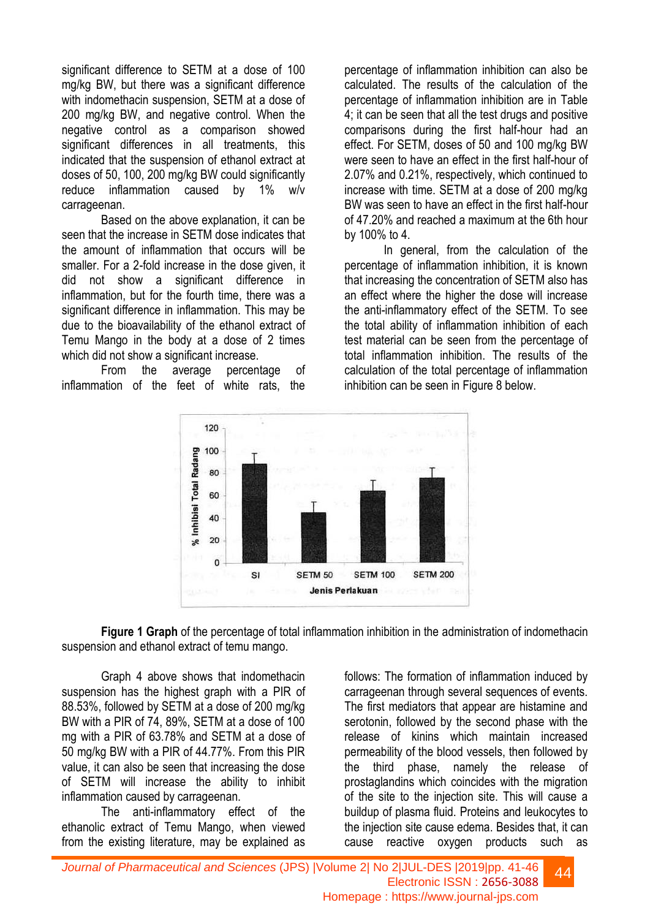significant difference to SETM at a dose of 100 mg/kg BW, but there was a significant difference with indomethacin suspension, SETM at a dose of 200 mg/kg BW, and negative control. When the negative control as a comparison showed significant differences in all treatments, this indicated that the suspension of ethanol extract at doses of 50, 100, 200 mg/kg BW could significantly reduce inflammation caused by 1% w/v carrageenan.

Based on the above explanation, it can be seen that the increase in SETM dose indicates that the amount of inflammation that occurs will be smaller. For a 2-fold increase in the dose given, it did not show a significant difference in inflammation, but for the fourth time, there was a significant difference in inflammation. This may be due to the bioavailability of the ethanol extract of Temu Mango in the body at a dose of 2 times which did not show a significant increase.

From the average percentage of inflammation of the feet of white rats, the percentage of inflammation inhibition can also be calculated. The results of the calculation of the percentage of inflammation inhibition are in Table 4; it can be seen that all the test drugs and positive comparisons during the first half-hour had an effect. For SETM, doses of 50 and 100 mg/kg BW were seen to have an effect in the first half-hour of 2.07% and 0.21%, respectively, which continued to increase with time. SETM at a dose of 200 mg/kg BW was seen to have an effect in the first half-hour of 47.20% and reached a maximum at the 6th hour by 100% to 4.

In general, from the calculation of the percentage of inflammation inhibition, it is known that increasing the concentration of SETM also has an effect where the higher the dose will increase the anti-inflammatory effect of the SETM. To see the total ability of inflammation inhibition of each test material can be seen from the percentage of total inflammation inhibition. The results of the calculation of the total percentage of inflammation inhibition can be seen in Figure 8 below.



**Figure 1 Graph** of the percentage of total inflammation inhibition in the administration of indomethacin suspension and ethanol extract of temu mango.

Graph 4 above shows that indomethacin suspension has the highest graph with a PIR of 88.53%, followed by SETM at a dose of 200 mg/kg BW with a PIR of 74, 89%, SETM at a dose of 100 mg with a PIR of 63.78% and SETM at a dose of 50 mg/kg BW with a PIR of 44.77%. From this PIR value, it can also be seen that increasing the dose of SETM will increase the ability to inhibit inflammation caused by carrageenan.

The anti-inflammatory effect of the ethanolic extract of Temu Mango, when viewed from the existing literature, may be explained as

follows: The formation of inflammation induced by carrageenan through several sequences of events. The first mediators that appear are histamine and serotonin, followed by the second phase with the release of kinins which maintain increased permeability of the blood vessels, then followed by the third phase, namely the release of prostaglandins which coincides with the migration of the site to the injection site. This will cause a buildup of plasma fluid. Proteins and leukocytes to the injection site cause edema. Besides that, it can cause reactive oxygen products such as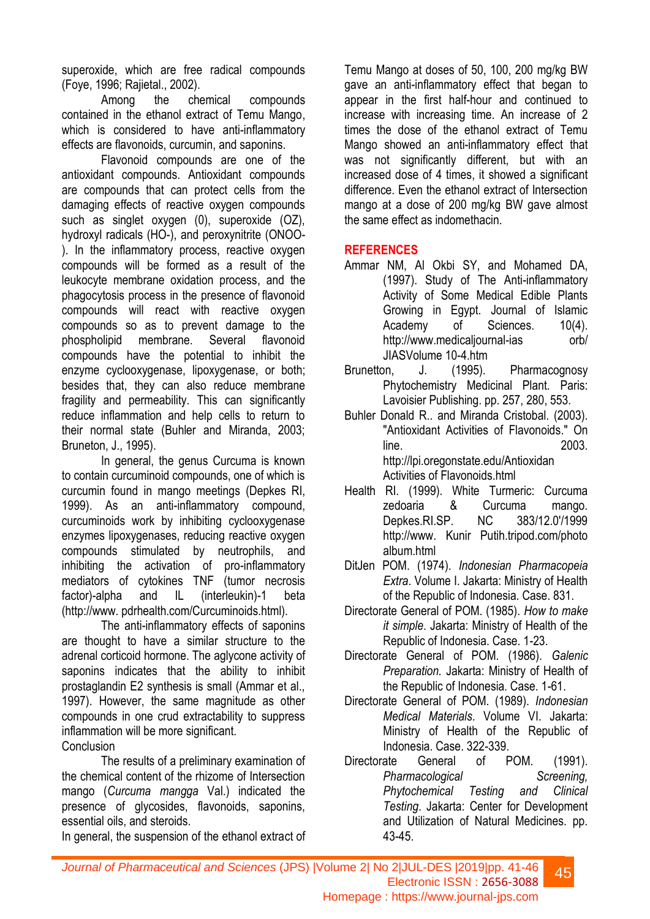superoxide, which are free radical compounds (Foye, 1996; Rajietal., 2002).

Among the chemical compounds contained in the ethanol extract of Temu Mango, which is considered to have anti-inflammatory effects are flavonoids, curcumin, and saponins.

Flavonoid compounds are one of the antioxidant compounds. Antioxidant compounds are compounds that can protect cells from the damaging effects of reactive oxygen compounds such as singlet oxygen (0), superoxide (OZ), hydroxyl radicals (HO-), and peroxynitrite (ONOO- ). In the inflammatory process, reactive oxygen compounds will be formed as a result of the leukocyte membrane oxidation process, and the phagocytosis process in the presence of flavonoid compounds will react with reactive oxygen compounds so as to prevent damage to the phospholipid membrane. Several flavonoid compounds have the potential to inhibit the enzyme cyclooxygenase, lipoxygenase, or both; besides that, they can also reduce membrane fragility and permeability. This can significantly reduce inflammation and help cells to return to their normal state (Buhler and Miranda, 2003; Bruneton, J., 1995).

In general, the genus Curcuma is known to contain curcuminoid compounds, one of which is curcumin found in mango meetings (Depkes RI, 1999). As an anti-inflammatory compound, curcuminoids work by inhibiting cyclooxygenase enzymes lipoxygenases, reducing reactive oxygen compounds stimulated by neutrophils, and inhibiting the activation of pro-inflammatory mediators of cytokines TNF (tumor necrosis factor)-alpha and IL (interleukin)-1 beta (http://www. pdrhealth.com/Curcuminoids.html).

The anti-inflammatory effects of saponins are thought to have a similar structure to the adrenal corticoid hormone. The aglycone activity of saponins indicates that the ability to inhibit prostaglandin E2 synthesis is small (Ammar et al., 1997). However, the same magnitude as other compounds in one crud extractability to suppress inflammation will be more significant.

**Conclusion** 

The results of a preliminary examination of the chemical content of the rhizome of Intersection mango (*Curcuma mangga* Val.) indicated the presence of glycosides, flavonoids, saponins, essential oils, and steroids.

In general, the suspension of the ethanol extract of

Temu Mango at doses of 50, 100, 200 mg/kg BW gave an anti-inflammatory effect that began to appear in the first half-hour and continued to increase with increasing time. An increase of 2 times the dose of the ethanol extract of Temu Mango showed an anti-inflammatory effect that was not significantly different, but with an increased dose of 4 times, it showed a significant difference. Even the ethanol extract of Intersection mango at a dose of 200 mg/kg BW gave almost the same effect as indomethacin.

## **REFERENCES**

- Ammar NM, Al Okbi SY, and Mohamed DA, (1997). Study of The Anti-inflammatory Activity of Some Medical Edible Plants Growing in Egypt. Journal of Islamic Academy of Sciences. 10(4). http://www.medicaliournal-ias orb/ JIASVolume 10-4.htm
- Brunetton, J. (1995). Pharmacognosy Phytochemistry Medicinal Plant. Paris: Lavoisier Publishing. pp. 257, 280, 553.
- Buhler Donald R.. and Miranda Cristobal. (2003). "Antioxidant Activities of Flavonoids." On line. 2003. http://lpi.oregonstate.edu/Antioxidan Activities of Flavonoids.html
- Health RI. (1999). White Turmeric: Curcuma zedoaria & Curcuma mango. Depkes.RI.SP. NC 383/12.0'/1999 http://www. Kunir Putih.tripod.com/photo album.html
- DitJen POM. (1974). *Indonesian Pharmacopeia Extra*. Volume I. Jakarta: Ministry of Health of the Republic of Indonesia. Case. 831.
- Directorate General of POM. (1985). *How to make it simple*. Jakarta: Ministry of Health of the Republic of Indonesia. Case. 1-23.
- Directorate General of POM. (1986). *Galenic Preparation.* Jakarta: Ministry of Health of the Republic of Indonesia. Case. 1-61.
- Directorate General of POM. (1989). *Indonesian Medical Materials*. Volume VI. Jakarta: Ministry of Health of the Republic of Indonesia. Case. 322-339.
- Directorate General of POM. (1991). *Pharmacological Screening, Phytochemical Testing and Clinical Testing*. Jakarta: Center for Development and Utilization of Natural Medicines. pp. 43-45.